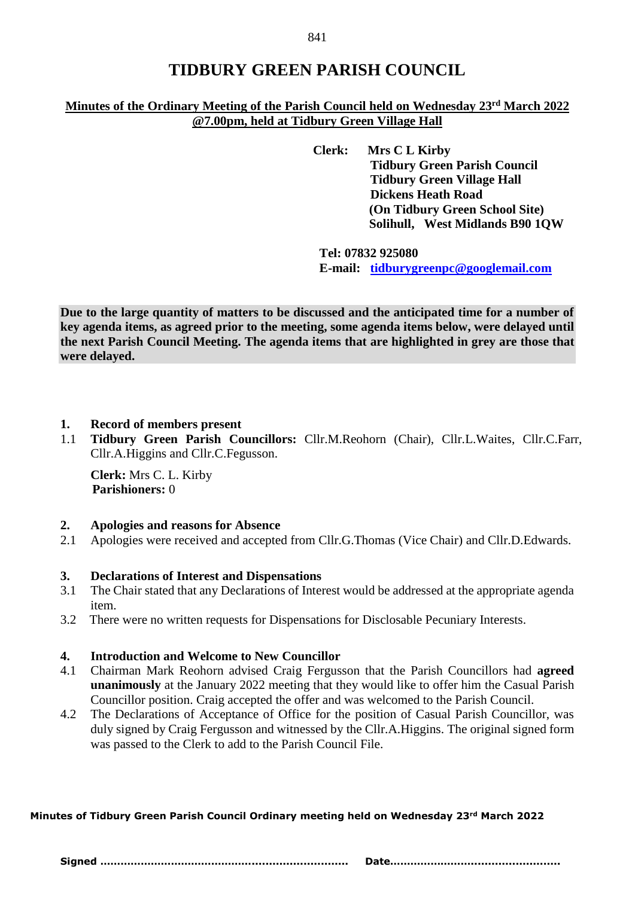# **TIDBURY GREEN PARISH COUNCIL**

# **Minutes of the Ordinary Meeting of the Parish Council held on Wednesday 23rd March 2022 @7.00pm, held at Tidbury Green Village Hall**

**Clerk: Mrs C L Kirby Tidbury Green Parish Council Tidbury Green Village Hall Dickens Heath Road (On Tidbury Green School Site) Solihull, West Midlands B90 1QW**

**Tel: 07832 925080 E-mail: [tidburygreenpc@googlemail.com](mailto:tidburygreenpc@googlemail.com)**

**Due to the large quantity of matters to be discussed and the anticipated time for a number of key agenda items, as agreed prior to the meeting, some agenda items below, were delayed until the next Parish Council Meeting. The agenda items that are highlighted in grey are those that were delayed.** 

# **1. Record of members present**

1.1 **Tidbury Green Parish Councillors:** Cllr.M.Reohorn (Chair), Cllr.L.Waites, Cllr.C.Farr, Cllr.A.Higgins and Cllr.C.Fegusson.

**Clerk:** Mrs C. L. Kirby  **Parishioners:** 0

# **2. Apologies and reasons for Absence**

2.1 Apologies were received and accepted from Cllr.G.Thomas (Vice Chair) and Cllr.D.Edwards.

# **3. Declarations of Interest and Dispensations**

- 3.1 The Chair stated that any Declarations of Interest would be addressed at the appropriate agenda item.
- 3.2 There were no written requests for Dispensations for Disclosable Pecuniary Interests.

# **4. Introduction and Welcome to New Councillor**

- 4.1 Chairman Mark Reohorn advised Craig Fergusson that the Parish Councillors had **agreed unanimously** at the January 2022 meeting that they would like to offer him the Casual Parish Councillor position. Craig accepted the offer and was welcomed to the Parish Council.
- 4.2 The Declarations of Acceptance of Office for the position of Casual Parish Councillor, was duly signed by Craig Fergusson and witnessed by the Cllr.A.Higgins. The original signed form was passed to the Clerk to add to the Parish Council File.

**Minutes of Tidbury Green Parish Council Ordinary meeting held on Wednesday 23rd March 2022**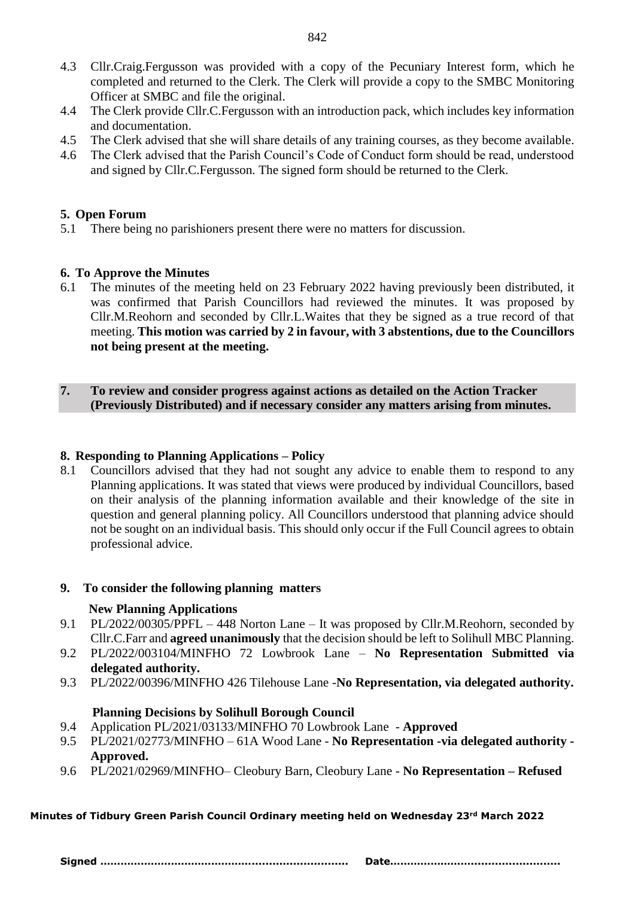- 4.3 Cllr.Craig.Fergusson was provided with a copy of the Pecuniary Interest form, which he completed and returned to the Clerk. The Clerk will provide a copy to the SMBC Monitoring Officer at SMBC and file the original.
- 4.4 The Clerk provide Cllr.C.Fergusson with an introduction pack, which includes key information and documentation.
- 4.5 The Clerk advised that she will share details of any training courses, as they become available.
- 4.6 The Clerk advised that the Parish Council's Code of Conduct form should be read, understood and signed by Cllr.C.Fergusson. The signed form should be returned to the Clerk.

# **5. Open Forum**

5.1 There being no parishioners present there were no matters for discussion.

# **6. To Approve the Minutes**

6.1 The minutes of the meeting held on 23 February 2022 having previously been distributed, it was confirmed that Parish Councillors had reviewed the minutes. It was proposed by Cllr.M.Reohorn and seconded by Cllr.L.Waites that they be signed as a true record of that meeting. **This motion was carried by 2 in favour, with 3 abstentions, due to the Councillors not being present at the meeting.**

# **7. To review and consider progress against actions as detailed on the Action Tracker (Previously Distributed) and if necessary consider any matters arising from minutes.**

# **8. Responding to Planning Applications – Policy**

8.1 Councillors advised that they had not sought any advice to enable them to respond to any Planning applications. It was stated that views were produced by individual Councillors, based on their analysis of the planning information available and their knowledge of the site in question and general planning policy. All Councillors understood that planning advice should not be sought on an individual basis. This should only occur if the Full Council agrees to obtain professional advice.

# **9. To consider the following planning matters**

# **New Planning Applications**

- 9.1 PL/2022/00305/PPFL 448 Norton Lane It was proposed by Cllr.M.Reohorn, seconded by Cllr.C.Farr and **agreed unanimously** that the decision should be left to Solihull MBC Planning.
- 9.2 PL/2022/003104/MINFHO 72 Lowbrook Lane **No Representation Submitted via delegated authority.**
- 9.3 PL/2022/00396/MINFHO 426 Tilehouse Lane -**No Representation, via delegated authority.**

# **Planning Decisions by Solihull Borough Council**

- 9.4 Application PL/2021/03133/MINFHO 70 Lowbrook Lane **Approved**
- 9.5 PL/2021/02773/MINFHO 61A Wood Lane **No Representation -via delegated authority - Approved.**
- 9.6 PL/2021/02969/MINFHO– Cleobury Barn, Cleobury Lane **No Representation – Refused**

# **Minutes of Tidbury Green Parish Council Ordinary meeting held on Wednesday 23rd March 2022**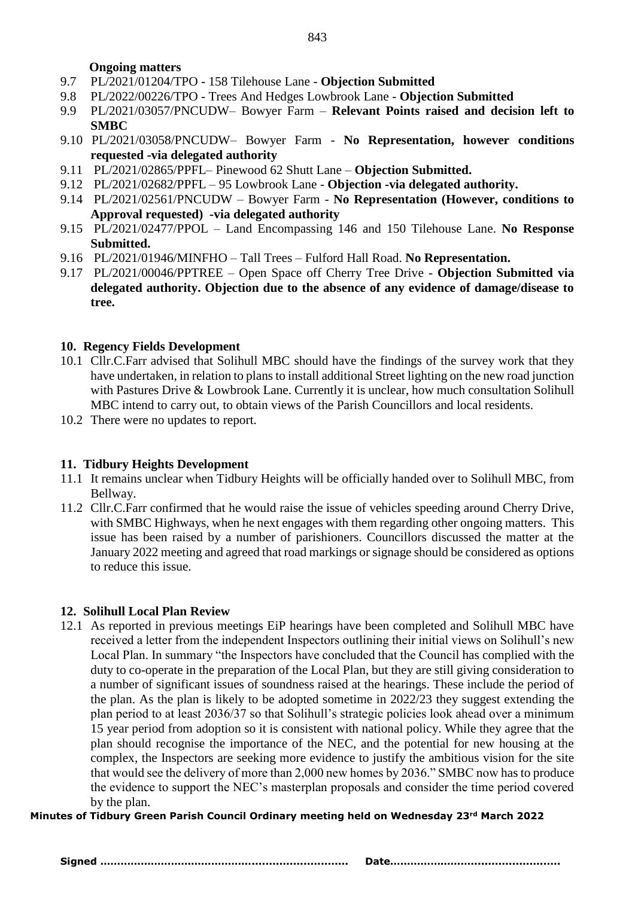#### **Ongoing matters**

- 9.7 PL/2021/01204/TPO 158 Tilehouse Lane **Objection Submitted**
- 9.8 PL/2022/00226/TPO Trees And Hedges Lowbrook Lane **Objection Submitted**
- 9.9 PL/2021/03057/PNCUDW– Bowyer Farm **Relevant Points raised and decision left to SMBC**
- 9.10 PL/2021/03058/PNCUDW– Bowyer Farm **No Representation, however conditions requested -via delegated authority**
- 9.11 PL/2021/02865/PPFL– Pinewood 62 Shutt Lane **Objection Submitted.**
- 9.12 PL/2021/02682/PPFL 95 Lowbrook Lane **Objection -via delegated authority.**
- 9.14 PL/2021/02561/PNCUDW Bowyer Farm **No Representation (However, conditions to Approval requested) -via delegated authority**
- 9.15 PL/2021/02477/PPOL Land Encompassing 146 and 150 Tilehouse Lane. **No Response Submitted.**
- 9.16 PL/2021/01946/MINFHO Tall Trees Fulford Hall Road. **No Representation.**
- 9.17 PL/2021/00046/PPTREE Open Space off Cherry Tree Drive **Objection Submitted via delegated authority. Objection due to the absence of any evidence of damage/disease to tree.**

# **10. Regency Fields Development**

- 10.1 Cllr.C.Farr advised that Solihull MBC should have the findings of the survey work that they have undertaken, in relation to plans to install additional Street lighting on the new road junction with Pastures Drive & Lowbrook Lane. Currently it is unclear, how much consultation Solihull MBC intend to carry out, to obtain views of the Parish Councillors and local residents.
- 10.2 There were no updates to report.

# **11. Tidbury Heights Development**

- 11.1 It remains unclear when Tidbury Heights will be officially handed over to Solihull MBC, from Bellway.
- 11.2 Cllr.C.Farr confirmed that he would raise the issue of vehicles speeding around Cherry Drive, with SMBC Highways, when he next engages with them regarding other ongoing matters. This issue has been raised by a number of parishioners. Councillors discussed the matter at the January 2022 meeting and agreed that road markings or signage should be considered as options to reduce this issue.

# **12. Solihull Local Plan Review**

12.1 As reported in previous meetings EiP hearings have been completed and Solihull MBC have received a letter from the independent Inspectors outlining their initial views on Solihull's new Local Plan. In summary "the Inspectors have concluded that the Council has complied with the duty to co-operate in the preparation of the Local Plan, but they are still giving consideration to a number of significant issues of soundness raised at the hearings. These include the period of the plan. As the plan is likely to be adopted sometime in 2022/23 they suggest extending the plan period to at least 2036/37 so that Solihull's strategic policies look ahead over a minimum 15 year period from adoption so it is consistent with national policy. While they agree that the plan should recognise the importance of the NEC, and the potential for new housing at the complex, the Inspectors are seeking more evidence to justify the ambitious vision for the site that would see the delivery of more than 2,000 new homes by 2036." SMBC now has to produce the evidence to support the NEC's masterplan proposals and consider the time period covered by the plan.

**Minutes of Tidbury Green Parish Council Ordinary meeting held on Wednesday 23rd March 2022**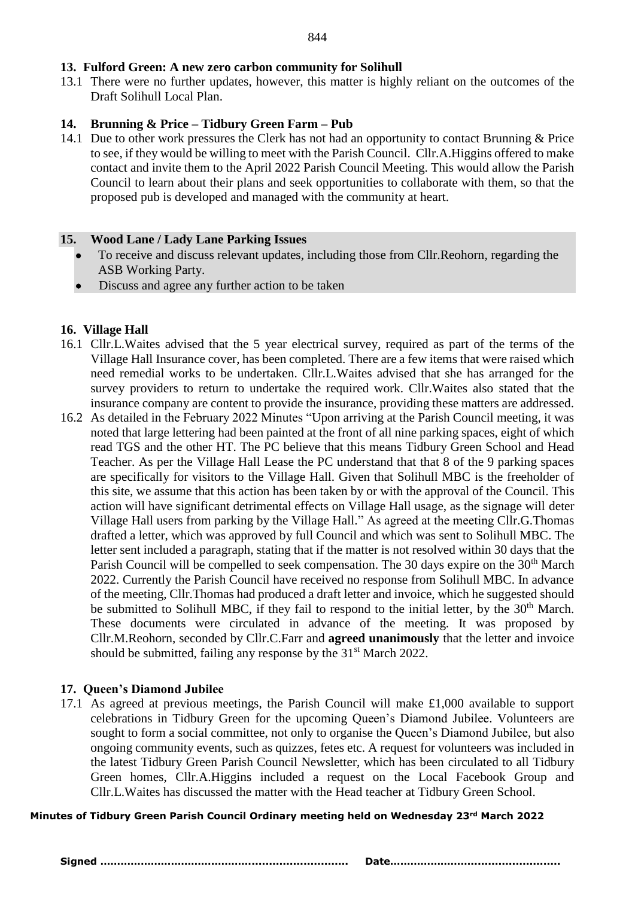# **13. Fulford Green: A new zero carbon community for Solihull**

13.1 There were no further updates, however, this matter is highly reliant on the outcomes of the Draft Solihull Local Plan.

# **14. Brunning & Price – Tidbury Green Farm – Pub**

14.1 Due to other work pressures the Clerk has not had an opportunity to contact Brunning & Price to see, if they would be willing to meet with the Parish Council. Cllr.A.Higgins offered to make contact and invite them to the April 2022 Parish Council Meeting. This would allow the Parish Council to learn about their plans and seek opportunities to collaborate with them, so that the proposed pub is developed and managed with the community at heart.

# **15. Wood Lane / Lady Lane Parking Issues**

- To receive and discuss relevant updates, including those from Cllr.Reohorn, regarding the ASB Working Party.
- Discuss and agree any further action to be taken

# **16. Village Hall**

- 16.1 Cllr.L.Waites advised that the 5 year electrical survey, required as part of the terms of the Village Hall Insurance cover, has been completed. There are a few items that were raised which need remedial works to be undertaken. Cllr.L.Waites advised that she has arranged for the survey providers to return to undertake the required work. Cllr.Waites also stated that the insurance company are content to provide the insurance, providing these matters are addressed.
- 16.2 As detailed in the February 2022 Minutes "Upon arriving at the Parish Council meeting, it was noted that large lettering had been painted at the front of all nine parking spaces, eight of which read TGS and the other HT. The PC believe that this means Tidbury Green School and Head Teacher. As per the Village Hall Lease the PC understand that that 8 of the 9 parking spaces are specifically for visitors to the Village Hall. Given that Solihull MBC is the freeholder of this site, we assume that this action has been taken by or with the approval of the Council. This action will have significant detrimental effects on Village Hall usage, as the signage will deter Village Hall users from parking by the Village Hall." As agreed at the meeting Cllr.G.Thomas drafted a letter, which was approved by full Council and which was sent to Solihull MBC. The letter sent included a paragraph, stating that if the matter is not resolved within 30 days that the Parish Council will be compelled to seek compensation. The 30 days expire on the 30<sup>th</sup> March 2022. Currently the Parish Council have received no response from Solihull MBC. In advance of the meeting, Cllr.Thomas had produced a draft letter and invoice, which he suggested should be submitted to Solihull MBC, if they fail to respond to the initial letter, by the 30<sup>th</sup> March. These documents were circulated in advance of the meeting. It was proposed by Cllr.M.Reohorn, seconded by Cllr.C.Farr and **agreed unanimously** that the letter and invoice should be submitted, failing any response by the  $31<sup>st</sup>$  March 2022.

# **17. Queen's Diamond Jubilee**

17.1 As agreed at previous meetings, the Parish Council will make £1,000 available to support celebrations in Tidbury Green for the upcoming Queen's Diamond Jubilee. Volunteers are sought to form a social committee, not only to organise the Queen's Diamond Jubilee, but also ongoing community events, such as quizzes, fetes etc. A request for volunteers was included in the latest Tidbury Green Parish Council Newsletter, which has been circulated to all Tidbury Green homes, Cllr.A.Higgins included a request on the Local Facebook Group and Cllr.L.Waites has discussed the matter with the Head teacher at Tidbury Green School.

**Minutes of Tidbury Green Parish Council Ordinary meeting held on Wednesday 23rd March 2022**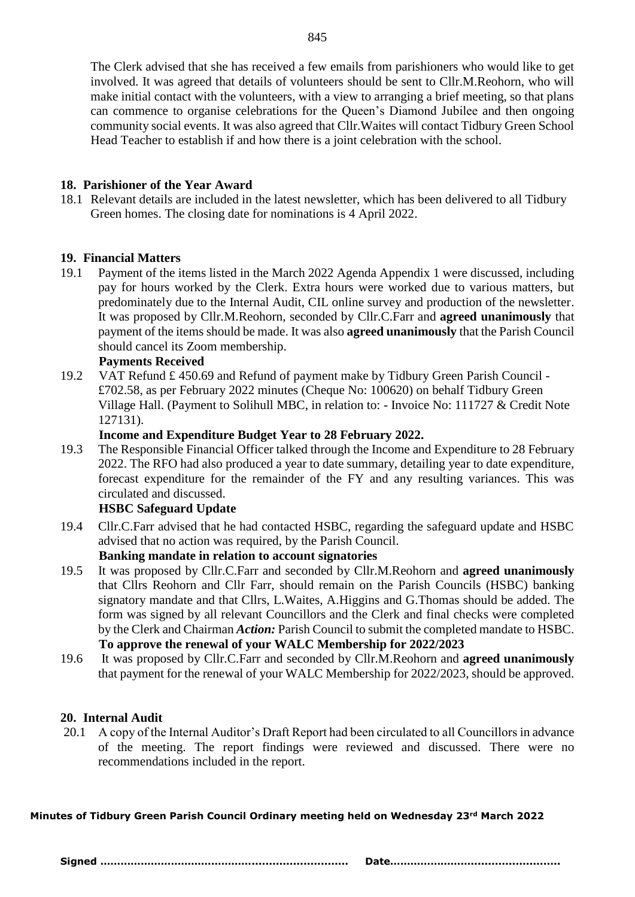The Clerk advised that she has received a few emails from parishioners who would like to get involved. It was agreed that details of volunteers should be sent to Cllr.M.Reohorn, who will make initial contact with the volunteers, with a view to arranging a brief meeting, so that plans can commence to organise celebrations for the Queen's Diamond Jubilee and then ongoing community social events. It was also agreed that Cllr.Waites will contact Tidbury Green School Head Teacher to establish if and how there is a joint celebration with the school.

# **18. Parishioner of the Year Award**

18.1 Relevant details are included in the latest newsletter, which has been delivered to all Tidbury Green homes. The closing date for nominations is 4 April 2022.

# **19. Financial Matters**

19.1 Payment of the items listed in the March 2022 Agenda Appendix 1 were discussed, including pay for hours worked by the Clerk. Extra hours were worked due to various matters, but predominately due to the Internal Audit, CIL online survey and production of the newsletter. It was proposed by Cllr.M.Reohorn, seconded by Cllr.C.Farr and **agreed unanimously** that payment of the items should be made. It was also **agreed unanimously** that the Parish Council should cancel its Zoom membership.

# **Payments Received**

19.2 VAT Refund £ 450.69 and Refund of payment make by Tidbury Green Parish Council - £702.58, as per February 2022 minutes (Cheque No: 100620) on behalf Tidbury Green Village Hall. (Payment to Solihull MBC, in relation to: - Invoice No: 111727 & Credit Note 127131).

# **Income and Expenditure Budget Year to 28 February 2022.**

19.3 The Responsible Financial Officer talked through the Income and Expenditure to 28 February 2022. The RFO had also produced a year to date summary, detailing year to date expenditure, forecast expenditure for the remainder of the FY and any resulting variances. This was circulated and discussed.

# **HSBC Safeguard Update**

19.4 Cllr.C.Farr advised that he had contacted HSBC, regarding the safeguard update and HSBC advised that no action was required, by the Parish Council.

# **Banking mandate in relation to account signatories**

- 19.5 It was proposed by Cllr.C.Farr and seconded by Cllr.M.Reohorn and **agreed unanimously** that Cllrs Reohorn and Cllr Farr, should remain on the Parish Councils (HSBC) banking signatory mandate and that Cllrs, L.Waites, A.Higgins and G.Thomas should be added. The form was signed by all relevant Councillors and the Clerk and final checks were completed by the Clerk and Chairman *Action:* Parish Council to submit the completed mandate to HSBC.  **To approve the renewal of your WALC Membership for 2022/2023**
- 19.6 It was proposed by Cllr.C.Farr and seconded by Cllr.M.Reohorn and **agreed unanimously** that payment for the renewal of your WALC Membership for 2022/2023, should be approved.

# **20. Internal Audit**

20.1 A copy of the Internal Auditor's Draft Report had been circulated to all Councillors in advance of the meeting. The report findings were reviewed and discussed. There were no recommendations included in the report.

**Minutes of Tidbury Green Parish Council Ordinary meeting held on Wednesday 23rd March 2022**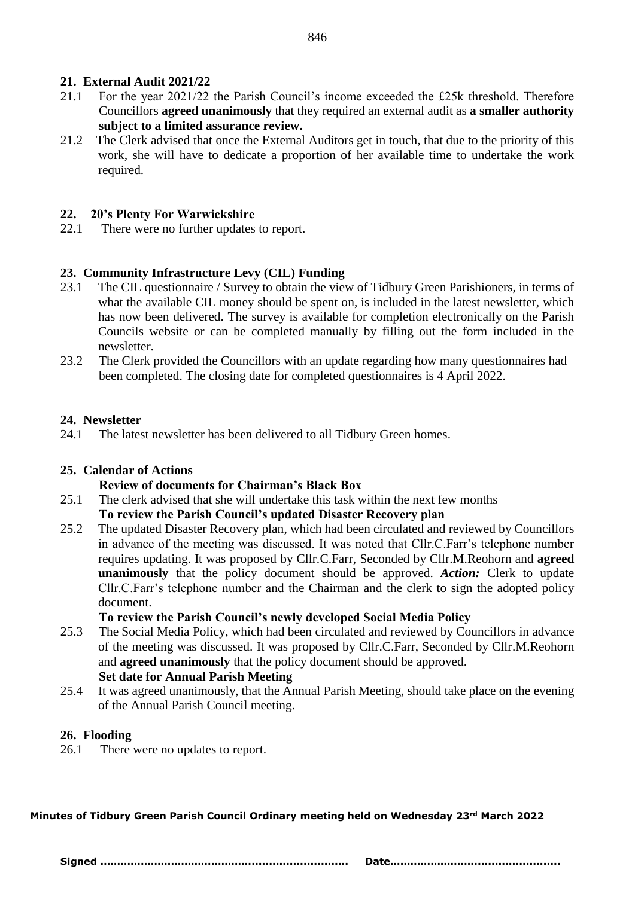# **21. External Audit 2021/22**

- 21.1 For the year 2021/22 the Parish Council's income exceeded the £25k threshold. Therefore Councillors **agreed unanimously** that they required an external audit as **a smaller authority subject to a limited assurance review.**
- 21.2 The Clerk advised that once the External Auditors get in touch, that due to the priority of this work, she will have to dedicate a proportion of her available time to undertake the work required.

# **22. 20's Plenty For Warwickshire**

22.1 There were no further updates to report.

# **23. Community Infrastructure Levy (CIL) Funding**

- 23.1 The CIL questionnaire / Survey to obtain the view of Tidbury Green Parishioners, in terms of what the available CIL money should be spent on, is included in the latest newsletter, which has now been delivered. The survey is available for completion electronically on the Parish Councils website or can be completed manually by filling out the form included in the newsletter.
- 23.2 The Clerk provided the Councillors with an update regarding how many questionnaires had been completed. The closing date for completed questionnaires is 4 April 2022.

# **24. Newsletter**

24.1 The latest newsletter has been delivered to all Tidbury Green homes.

# **25. Calendar of Actions**

# **Review of documents for Chairman's Black Box**

25.1 The clerk advised that she will undertake this task within the next few months

# **To review the Parish Council's updated Disaster Recovery plan**

25.2 The updated Disaster Recovery plan, which had been circulated and reviewed by Councillors in advance of the meeting was discussed. It was noted that Cllr.C.Farr's telephone number requires updating. It was proposed by Cllr.C.Farr, Seconded by Cllr.M.Reohorn and **agreed unanimously** that the policy document should be approved. *Action:* Clerk to update Cllr.C.Farr's telephone number and the Chairman and the clerk to sign the adopted policy document.

# **To review the Parish Council's newly developed Social Media Policy**

25.3 The Social Media Policy, which had been circulated and reviewed by Councillors in advance of the meeting was discussed. It was proposed by Cllr.C.Farr, Seconded by Cllr.M.Reohorn and **agreed unanimously** that the policy document should be approved.

# **Set date for Annual Parish Meeting**

25.4 It was agreed unanimously, that the Annual Parish Meeting, should take place on the evening of the Annual Parish Council meeting.

# **26. Flooding**

26.1 There were no updates to report.

**Minutes of Tidbury Green Parish Council Ordinary meeting held on Wednesday 23rd March 2022**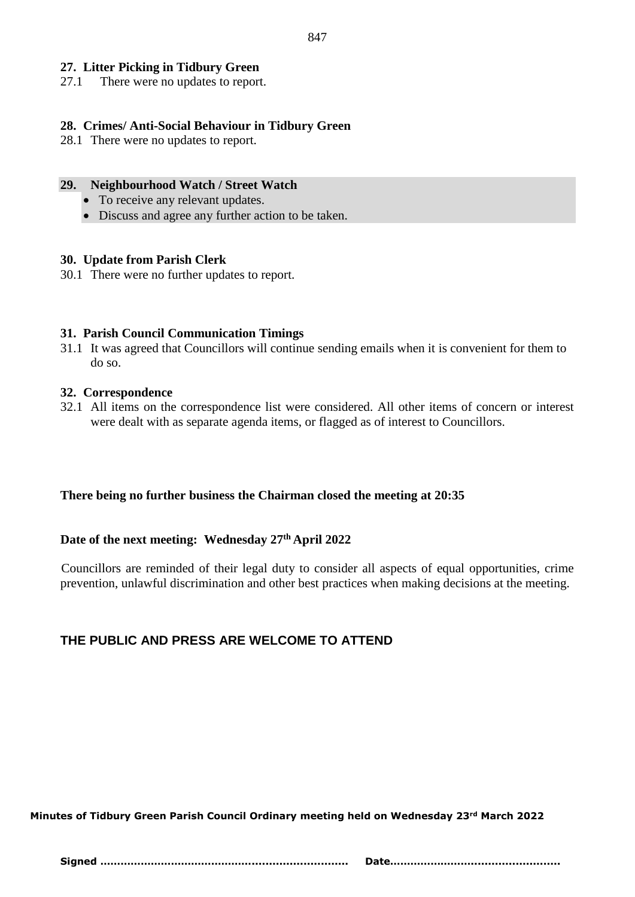# **27. Litter Picking in Tidbury Green**

27.1 There were no updates to report.

# **28. Crimes/ Anti-Social Behaviour in Tidbury Green**

28.1 There were no updates to report.

#### **29. Neighbourhood Watch / Street Watch**

- To receive any relevant updates.
- Discuss and agree any further action to be taken.

#### **30. Update from Parish Clerk**

30.1 There were no further updates to report.

# **31. Parish Council Communication Timings**

31.1 It was agreed that Councillors will continue sending emails when it is convenient for them to do so.

#### **32. Correspondence**

32.1 All items on the correspondence list were considered. All other items of concern or interest were dealt with as separate agenda items, or flagged as of interest to Councillors.

# **There being no further business the Chairman closed the meeting at 20:35**

# **Date of the next meeting: Wednesday 27th April 2022**

 Councillors are reminded of their legal duty to consider all aspects of equal opportunities, crime prevention, unlawful discrimination and other best practices when making decisions at the meeting.

# **THE PUBLIC AND PRESS ARE WELCOME TO ATTEND**

**Minutes of Tidbury Green Parish Council Ordinary meeting held on Wednesday 23rd March 2022**